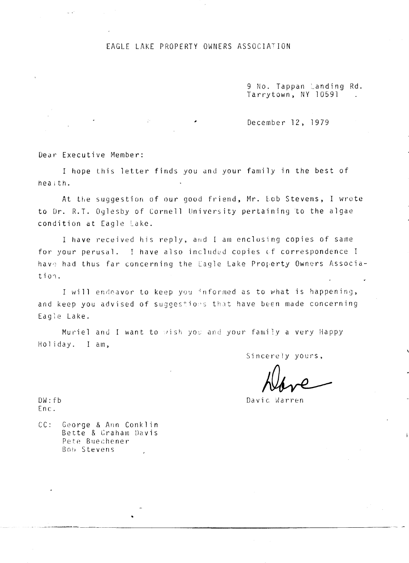## EAGLE LAKE PROPERTY OWNERS ASSOCIATION

9 No. Tappan Landing Rd.<br>Tarrytown, NY 10591.

December 12, 1979

Dear Executive Member:

in a

I hope this letter finds you and your family in the best of health.

 $\mathbb{R}^2$ 

At the suggestion of our good friend, Mr. Eob Stevens, I wrote to Dr. R.T. Oglesby of Cornell University pertaining to the algae condition at Eagle Lake.

I have received his reply, and I am enclosing copies of same for your perusal. I have also included copies of correspondence I have had thus far concerning the Eagle Lake Property Owners Associa $t$ ion.

I will endeavor to keep you informed as to what is happening, and keep you advised of suggestions that have been made concerning Eagle Lake.

Muriel and I want to wish you and your family a very Happy Holiday. I am,

Sincerely vours,

 $DW:fb$  $Enc.$ 

 $CC:$ George & Ann Conklin Bette & Graham Davis Pete Buechener Bob Stevens

Davic Warren